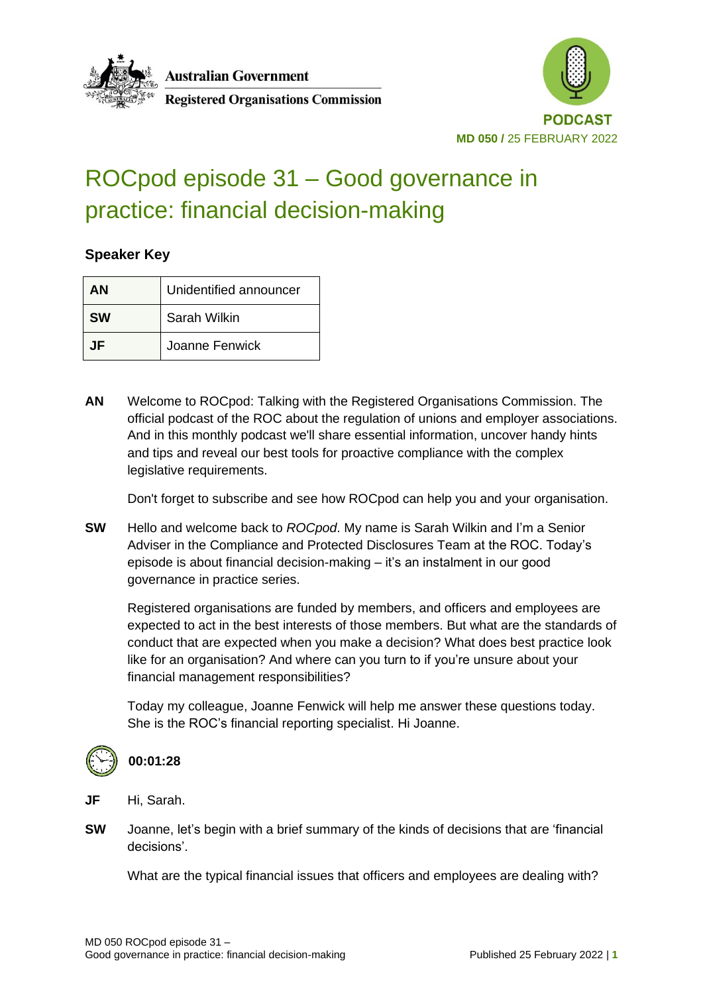



#### **Registered Organisations Commission**

# ROCpod episode 31 – Good governance in practice: financial decision-making

#### **Speaker Key**

| ΑN        | Unidentified announcer |
|-----------|------------------------|
| <b>SW</b> | Sarah Wilkin           |
| .IF       | Joanne Fenwick         |

**AN** Welcome to ROCpod: Talking with the Registered Organisations Commission. The official podcast of the ROC about the regulation of unions and employer associations. And in this monthly podcast we'll share essential information, uncover handy hints and tips and reveal our best tools for proactive compliance with the complex legislative requirements.

Don't forget to subscribe and see how ROCpod can help you and your organisation.

**SW** Hello and welcome back to *ROCpod*. My name is Sarah Wilkin and I'm a Senior Adviser in the Compliance and Protected Disclosures Team at the ROC. Today's episode is about financial decision-making – it's an instalment in our good governance in practice series.

Registered organisations are funded by members, and officers and employees are expected to act in the best interests of those members. But what are the standards of conduct that are expected when you make a decision? What does best practice look like for an organisation? And where can you turn to if you're unsure about your financial management responsibilities?

Today my colleague, Joanne Fenwick will help me answer these questions today. She is the ROC's financial reporting specialist. Hi Joanne.



#### **00:01:28**

**JF** Hi, Sarah.

**SW** Joanne, let's begin with a brief summary of the kinds of decisions that are 'financial decisions'.

What are the typical financial issues that officers and employees are dealing with?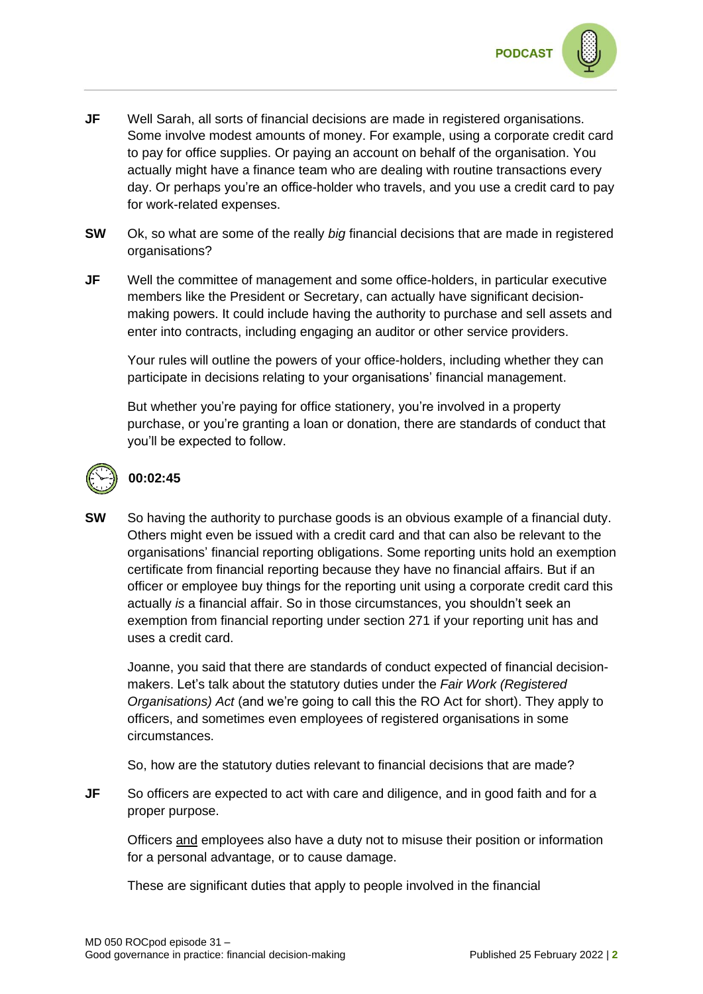

- **JF** Well Sarah, all sorts of financial decisions are made in registered organisations. Some involve modest amounts of money. For example, using a corporate credit card to pay for office supplies. Or paying an account on behalf of the organisation. You actually might have a finance team who are dealing with routine transactions every day. Or perhaps you're an office-holder who travels, and you use a credit card to pay for work-related expenses.
- **SW** Ok, so what are some of the really *big* financial decisions that are made in registered organisations?
- **JF** Well the committee of management and some office-holders, in particular executive members like the President or Secretary, can actually have significant decisionmaking powers. It could include having the authority to purchase and sell assets and enter into contracts, including engaging an auditor or other service providers.

Your rules will outline the powers of your office-holders, including whether they can participate in decisions relating to your organisations' financial management.

But whether you're paying for office stationery, you're involved in a property purchase, or you're granting a loan or donation, there are standards of conduct that you'll be expected to follow.



#### **00:02:45**

**SW** So having the authority to purchase goods is an obvious example of a financial duty. Others might even be issued with a credit card and that can also be relevant to the organisations' financial reporting obligations. Some reporting units hold an exemption certificate from financial reporting because they have no financial affairs. But if an officer or employee buy things for the reporting unit using a corporate credit card this actually *is* a financial affair. So in those circumstances, you shouldn't seek an exemption from financial reporting under section 271 if your reporting unit has and uses a credit card.

Joanne, you said that there are standards of conduct expected of financial decisionmakers. Let's talk about the statutory duties under the *Fair Work (Registered Organisations) Act* (and we're going to call this the RO Act for short). They apply to officers, and sometimes even employees of registered organisations in some circumstances.

So, how are the statutory duties relevant to financial decisions that are made?

**JF** So officers are expected to act with care and diligence, and in good faith and for a proper purpose.

Officers and employees also have a duty not to misuse their position or information for a personal advantage, or to cause damage.

These are significant duties that apply to people involved in the financial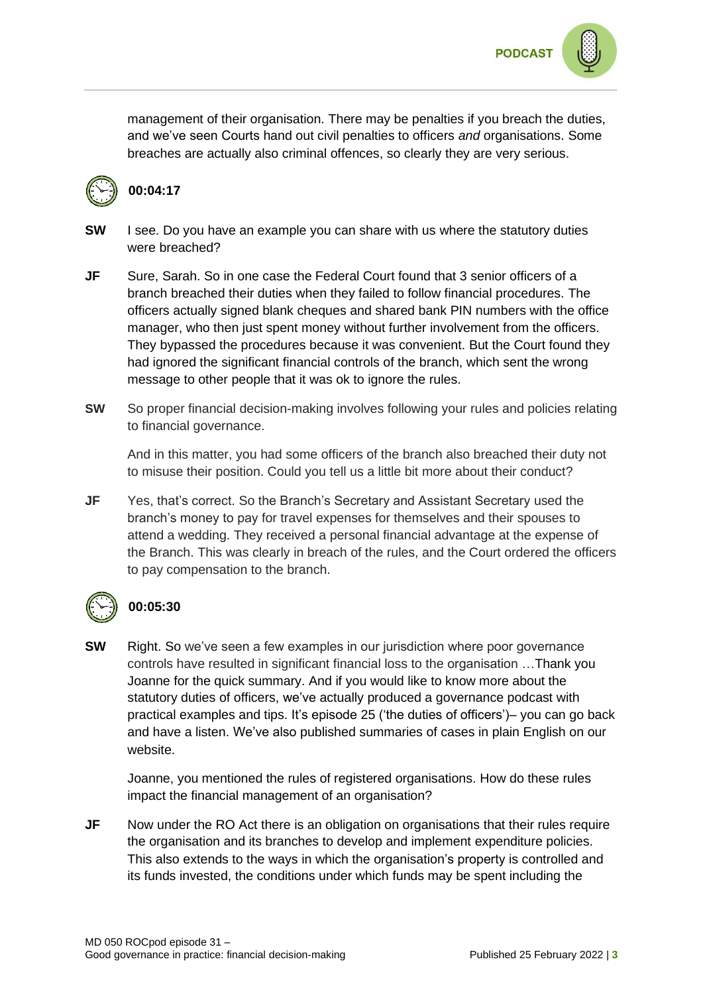

management of their organisation. There may be penalties if you breach the duties, and we've seen Courts hand out civil penalties to officers *and* organisations. Some breaches are actually also criminal offences, so clearly they are very serious.



#### **00:04:17**

- **SW** I see. Do you have an example you can share with us where the statutory duties were breached?
- **JF** Sure, Sarah, So in one case the Federal Court found that 3 senior officers of a branch breached their duties when they failed to follow financial procedures. The officers actually signed blank cheques and shared bank PIN numbers with the office manager, who then just spent money without further involvement from the officers. They bypassed the procedures because it was convenient. But the Court found they had ignored the significant financial controls of the branch, which sent the wrong message to other people that it was ok to ignore the rules.
- **SW** So proper financial decision-making involves following your rules and policies relating to financial governance.

And in this matter, you had some officers of the branch also breached their duty not to misuse their position. Could you tell us a little bit more about their conduct?

**JF** Yes, that's correct. So the Branch's Secretary and Assistant Secretary used the branch's money to pay for travel expenses for themselves and their spouses to attend a wedding. They received a personal financial advantage at the expense of the Branch. This was clearly in breach of the rules, and the Court ordered the officers to pay compensation to the branch.



#### **00:05:30**

**SW** Right. So we've seen a few examples in our jurisdiction where poor governance controls have resulted in significant financial loss to the organisation …Thank you Joanne for the quick summary. And if you would like to know more about the statutory duties of officers, we've actually produced a governance podcast with practical examples and tips. It's episode 25 ('the duties of officers')– you can go back and have a listen. We've also published summaries of cases in plain English on our website.

Joanne, you mentioned the rules of registered organisations. How do these rules impact the financial management of an organisation?

**JF** Now under the RO Act there is an obligation on organisations that their rules require the organisation and its branches to develop and implement expenditure policies. This also extends to the ways in which the organisation's property is controlled and its funds invested, the conditions under which funds may be spent including the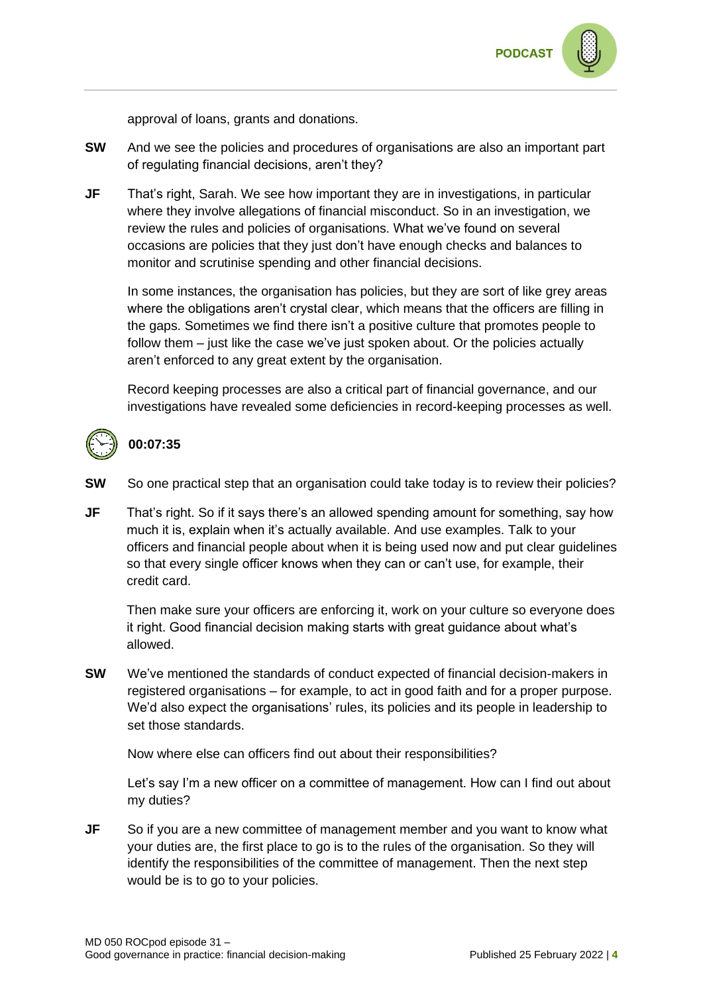

approval of loans, grants and donations.

- **SW** And we see the policies and procedures of organisations are also an important part of regulating financial decisions, aren't they?
- **JF** That's right, Sarah. We see how important they are in investigations, in particular where they involve allegations of financial misconduct. So in an investigation, we review the rules and policies of organisations. What we've found on several occasions are policies that they just don't have enough checks and balances to monitor and scrutinise spending and other financial decisions.

In some instances, the organisation has policies, but they are sort of like grey areas where the obligations aren't crystal clear, which means that the officers are filling in the gaps. Sometimes we find there isn't a positive culture that promotes people to follow them – just like the case we've just spoken about. Or the policies actually aren't enforced to any great extent by the organisation.

Record keeping processes are also a critical part of financial governance, and our investigations have revealed some deficiencies in record-keeping processes as well.



#### **00:07:35**

- **SW** So one practical step that an organisation could take today is to review their policies?
- **JF** That's right. So if it says there's an allowed spending amount for something, say how much it is, explain when it's actually available. And use examples. Talk to your officers and financial people about when it is being used now and put clear guidelines so that every single officer knows when they can or can't use, for example, their credit card.

Then make sure your officers are enforcing it, work on your culture so everyone does it right. Good financial decision making starts with great guidance about what's allowed.

**SW** We've mentioned the standards of conduct expected of financial decision-makers in registered organisations – for example, to act in good faith and for a proper purpose. We'd also expect the organisations' rules, its policies and its people in leadership to set those standards.

Now where else can officers find out about their responsibilities?

Let's say I'm a new officer on a committee of management. How can I find out about my duties?

**JF** So if you are a new committee of management member and you want to know what your duties are, the first place to go is to the rules of the organisation. So they will identify the responsibilities of the committee of management. Then the next step would be is to go to your policies.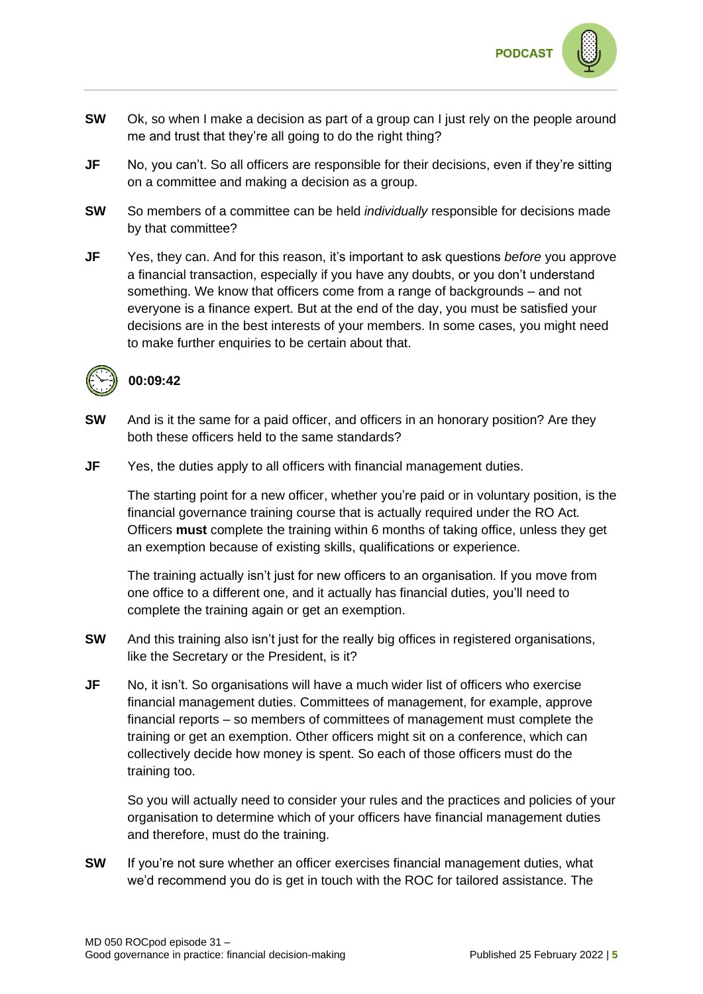

- **SW** Ok, so when I make a decision as part of a group can I just rely on the people around me and trust that they're all going to do the right thing?
- **JF** No, you can't. So all officers are responsible for their decisions, even if they're sitting on a committee and making a decision as a group.
- **SW** So members of a committee can be held *individually* responsible for decisions made by that committee?
- **JF** Yes, they can. And for this reason, it's important to ask questions *before* you approve a financial transaction, especially if you have any doubts, or you don't understand something. We know that officers come from a range of backgrounds – and not everyone is a finance expert. But at the end of the day, you must be satisfied your decisions are in the best interests of your members. In some cases, you might need to make further enquiries to be certain about that.



#### **00:09:42**

- **SW** And is it the same for a paid officer, and officers in an honorary position? Are they both these officers held to the same standards?
- **JF** Yes, the duties apply to all officers with financial management duties.

The starting point for a new officer, whether you're paid or in voluntary position, is the financial governance training course that is actually required under the RO Act*.* Officers **must** complete the training within 6 months of taking office, unless they get an exemption because of existing skills, qualifications or experience.

The training actually isn't just for new officers to an organisation. If you move from one office to a different one, and it actually has financial duties, you'll need to complete the training again or get an exemption.

- **SW** And this training also isn't just for the really big offices in registered organisations, like the Secretary or the President, is it?
- **JF** No, it isn't. So organisations will have a much wider list of officers who exercise financial management duties. Committees of management, for example, approve financial reports – so members of committees of management must complete the training or get an exemption. Other officers might sit on a conference, which can collectively decide how money is spent. So each of those officers must do the training too.

So you will actually need to consider your rules and the practices and policies of your organisation to determine which of your officers have financial management duties and therefore, must do the training.

**SW** If you're not sure whether an officer exercises financial management duties, what we'd recommend you do is get in touch with the ROC for tailored assistance. The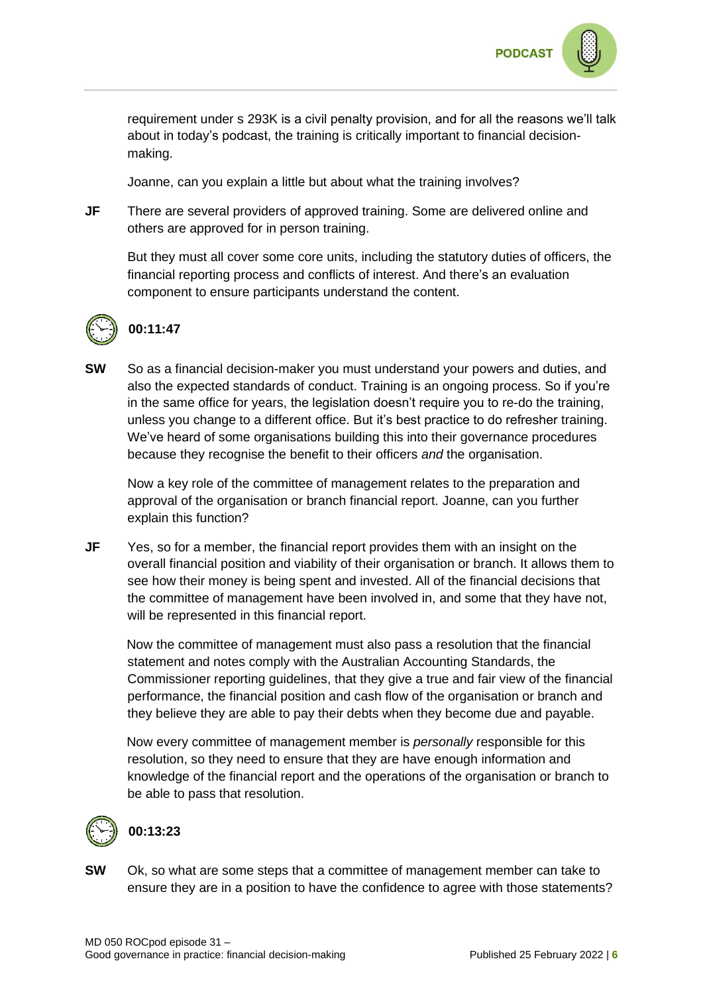requirement under s 293K is a civil penalty provision, and for all the reasons we'll talk about in today's podcast, the training is critically important to financial decisionmaking.

Joanne, can you explain a little but about what the training involves?

**JF** There are several providers of approved training. Some are delivered online and others are approved for in person training.

But they must all cover some core units, including the statutory duties of officers, the financial reporting process and conflicts of interest. And there's an evaluation component to ensure participants understand the content.



## **00:11:47**

**SW** So as a financial decision-maker you must understand your powers and duties, and also the expected standards of conduct. Training is an ongoing process. So if you're in the same office for years, the legislation doesn't require you to re-do the training, unless you change to a different office. But it's best practice to do refresher training. We've heard of some organisations building this into their governance procedures because they recognise the benefit to their officers *and* the organisation.

Now a key role of the committee of management relates to the preparation and approval of the organisation or branch financial report. Joanne, can you further explain this function?

**JF** Yes, so for a member, the financial report provides them with an insight on the overall financial position and viability of their organisation or branch. It allows them to see how their money is being spent and invested. All of the financial decisions that the committee of management have been involved in, and some that they have not, will be represented in this financial report.

Now the committee of management must also pass a resolution that the financial statement and notes comply with the Australian Accounting Standards, the Commissioner reporting guidelines, that they give a true and fair view of the financial performance, the financial position and cash flow of the organisation or branch and they believe they are able to pay their debts when they become due and payable.

Now every committee of management member is *personally* responsible for this resolution, so they need to ensure that they are have enough information and knowledge of the financial report and the operations of the organisation or branch to be able to pass that resolution.



#### **00:13:23**

**SW** Ok, so what are some steps that a committee of management member can take to ensure they are in a position to have the confidence to agree with those statements?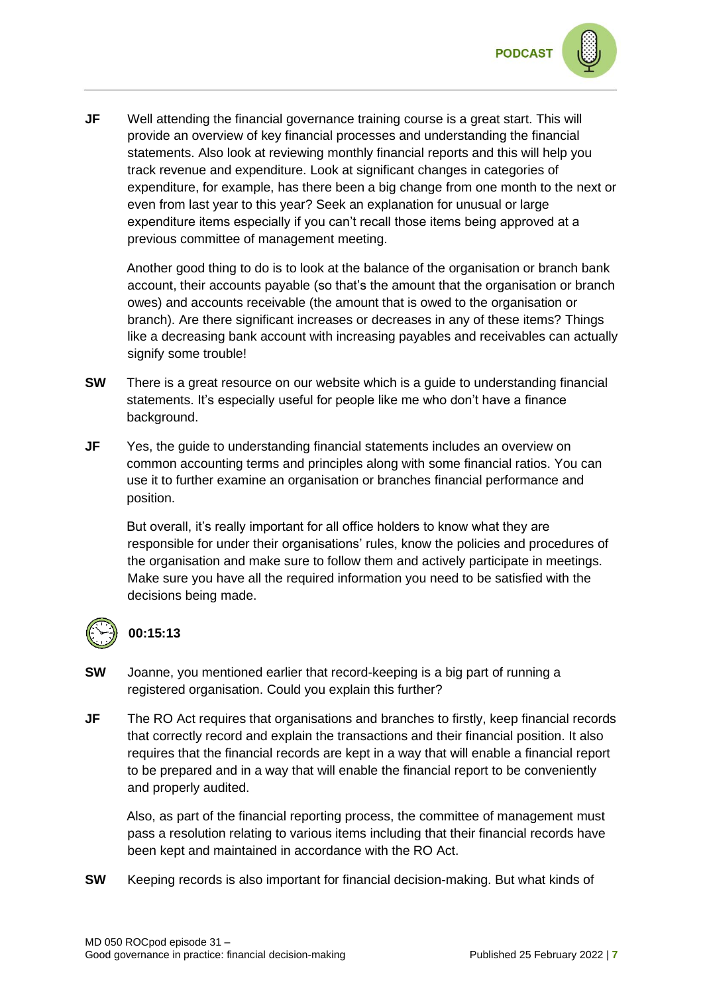

**JF** Well attending the financial governance training course is a great start. This will provide an overview of key financial processes and understanding the financial statements. Also look at reviewing monthly financial reports and this will help you track revenue and expenditure. Look at significant changes in categories of expenditure, for example, has there been a big change from one month to the next or even from last year to this year? Seek an explanation for unusual or large expenditure items especially if you can't recall those items being approved at a previous committee of management meeting.

Another good thing to do is to look at the balance of the organisation or branch bank account, their accounts payable (so that's the amount that the organisation or branch owes) and accounts receivable (the amount that is owed to the organisation or branch). Are there significant increases or decreases in any of these items? Things like a decreasing bank account with increasing payables and receivables can actually signify some trouble!

- **SW** There is a great resource on our website which is a guide to understanding financial statements. It's especially useful for people like me who don't have a finance background.
- **JF** Yes, the guide to understanding financial statements includes an overview on common accounting terms and principles along with some financial ratios. You can use it to further examine an organisation or branches financial performance and position.

But overall, it's really important for all office holders to know what they are responsible for under their organisations' rules, know the policies and procedures of the organisation and make sure to follow them and actively participate in meetings. Make sure you have all the required information you need to be satisfied with the decisions being made.



#### **00:15:13**

- **SW** Joanne, you mentioned earlier that record-keeping is a big part of running a registered organisation. Could you explain this further?
- **JF** The RO Act requires that organisations and branches to firstly, keep financial records that correctly record and explain the transactions and their financial position. It also requires that the financial records are kept in a way that will enable a financial report to be prepared and in a way that will enable the financial report to be conveniently and properly audited.

Also, as part of the financial reporting process, the committee of management must pass a resolution relating to various items including that their financial records have been kept and maintained in accordance with the RO Act.

**SW** Keeping records is also important for financial decision-making. But what kinds of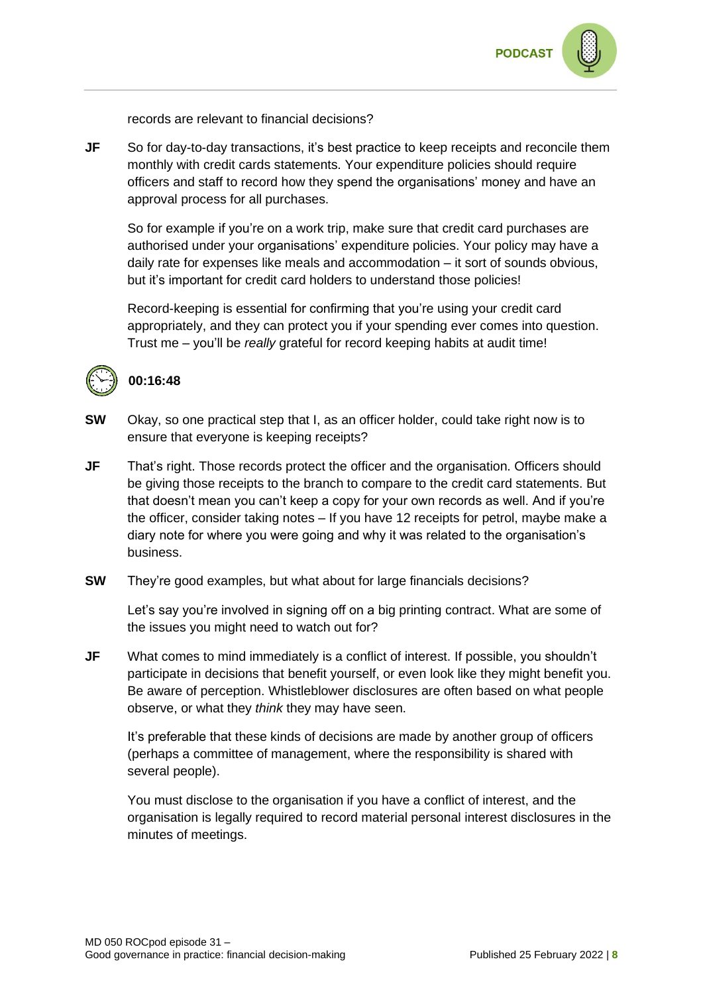

records are relevant to financial decisions?

**JF** So for day-to-day transactions, it's best practice to keep receipts and reconcile them monthly with credit cards statements. Your expenditure policies should require officers and staff to record how they spend the organisations' money and have an approval process for all purchases.

So for example if you're on a work trip, make sure that credit card purchases are authorised under your organisations' expenditure policies. Your policy may have a daily rate for expenses like meals and accommodation – it sort of sounds obvious, but it's important for credit card holders to understand those policies!

Record-keeping is essential for confirming that you're using your credit card appropriately, and they can protect you if your spending ever comes into question. Trust me – you'll be *really* grateful for record keeping habits at audit time!



#### **00:16:48**

- **SW** Okay, so one practical step that I, as an officer holder, could take right now is to ensure that everyone is keeping receipts?
- **JF** That's right. Those records protect the officer and the organisation. Officers should be giving those receipts to the branch to compare to the credit card statements. But that doesn't mean you can't keep a copy for your own records as well. And if you're the officer, consider taking notes – If you have 12 receipts for petrol, maybe make a diary note for where you were going and why it was related to the organisation's business.
- **SW** They're good examples, but what about for large financials decisions?

Let's say you're involved in signing off on a big printing contract. What are some of the issues you might need to watch out for?

**JF** What comes to mind immediately is a conflict of interest. If possible, you shouldn't participate in decisions that benefit yourself, or even look like they might benefit you. Be aware of perception. Whistleblower disclosures are often based on what people observe, or what they *think* they may have seen.

It's preferable that these kinds of decisions are made by another group of officers (perhaps a committee of management, where the responsibility is shared with several people).

You must disclose to the organisation if you have a conflict of interest, and the organisation is legally required to record material personal interest disclosures in the minutes of meetings.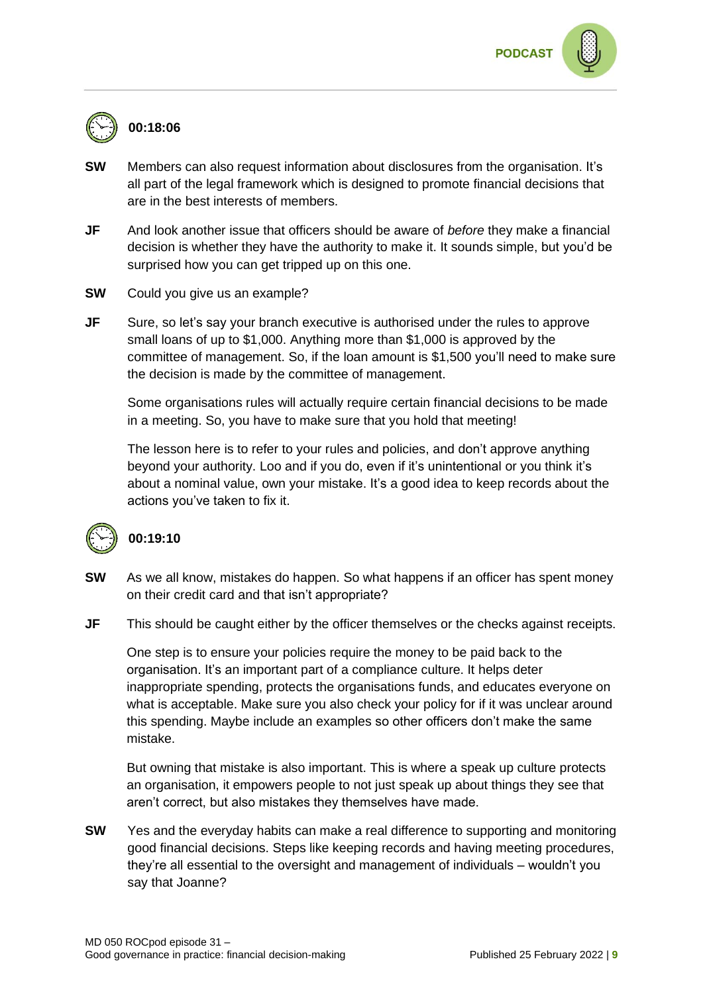### **00:18:06**

- **SW** Members can also request information about disclosures from the organisation. It's all part of the legal framework which is designed to promote financial decisions that are in the best interests of members.
- **JF** And look another issue that officers should be aware of *before* they make a financial decision is whether they have the authority to make it. It sounds simple, but you'd be surprised how you can get tripped up on this one.
- **SW** Could you give us an example?
- **JF** Sure, so let's say your branch executive is authorised under the rules to approve small loans of up to \$1,000. Anything more than \$1,000 is approved by the committee of management. So, if the loan amount is \$1,500 you'll need to make sure the decision is made by the committee of management.

Some organisations rules will actually require certain financial decisions to be made in a meeting. So, you have to make sure that you hold that meeting!

The lesson here is to refer to your rules and policies, and don't approve anything beyond your authority. Loo and if you do, even if it's unintentional or you think it's about a nominal value, own your mistake. It's a good idea to keep records about the actions you've taken to fix it.



#### **00:19:10**

- **SW** As we all know, mistakes do happen. So what happens if an officer has spent money on their credit card and that isn't appropriate?
- **JF** This should be caught either by the officer themselves or the checks against receipts.

One step is to ensure your policies require the money to be paid back to the organisation. It's an important part of a compliance culture. It helps deter inappropriate spending, protects the organisations funds, and educates everyone on what is acceptable. Make sure you also check your policy for if it was unclear around this spending. Maybe include an examples so other officers don't make the same mistake.

But owning that mistake is also important. This is where a speak up culture protects an organisation, it empowers people to not just speak up about things they see that aren't correct, but also mistakes they themselves have made.

**SW** Yes and the everyday habits can make a real difference to supporting and monitoring good financial decisions. Steps like keeping records and having meeting procedures, they're all essential to the oversight and management of individuals – wouldn't you say that Joanne?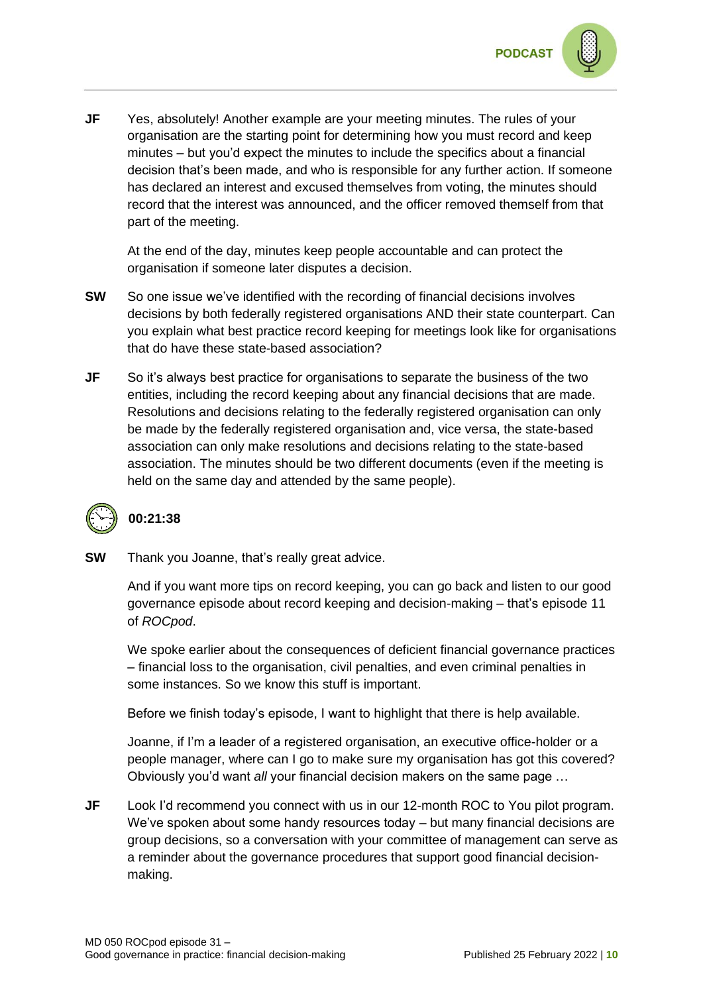

**JF** Yes, absolutely! Another example are your meeting minutes. The rules of your organisation are the starting point for determining how you must record and keep minutes – but you'd expect the minutes to include the specifics about a financial decision that's been made, and who is responsible for any further action. If someone has declared an interest and excused themselves from voting, the minutes should record that the interest was announced, and the officer removed themself from that part of the meeting.

At the end of the day, minutes keep people accountable and can protect the organisation if someone later disputes a decision.

- **SW** So one issue we've identified with the recording of financial decisions involves decisions by both federally registered organisations AND their state counterpart. Can you explain what best practice record keeping for meetings look like for organisations that do have these state-based association?
- **JF** So it's always best practice for organisations to separate the business of the two entities, including the record keeping about any financial decisions that are made. Resolutions and decisions relating to the federally registered organisation can only be made by the federally registered organisation and, vice versa, the state-based association can only make resolutions and decisions relating to the state-based association. The minutes should be two different documents (even if the meeting is held on the same day and attended by the same people).

### **00:21:38**

**SW** Thank you Joanne, that's really great advice.

And if you want more tips on record keeping, you can go back and listen to our good governance episode about record keeping and decision-making – that's episode 11 of *ROCpod*.

We spoke earlier about the consequences of deficient financial governance practices – financial loss to the organisation, civil penalties, and even criminal penalties in some instances. So we know this stuff is important.

Before we finish today's episode, I want to highlight that there is help available.

Joanne, if I'm a leader of a registered organisation, an executive office-holder or a people manager, where can I go to make sure my organisation has got this covered? Obviously you'd want *all* your financial decision makers on the same page …

**JF** Look I'd recommend you connect with us in our 12-month ROC to You pilot program. We've spoken about some handy resources today – but many financial decisions are group decisions, so a conversation with your committee of management can serve as a reminder about the governance procedures that support good financial decisionmaking.